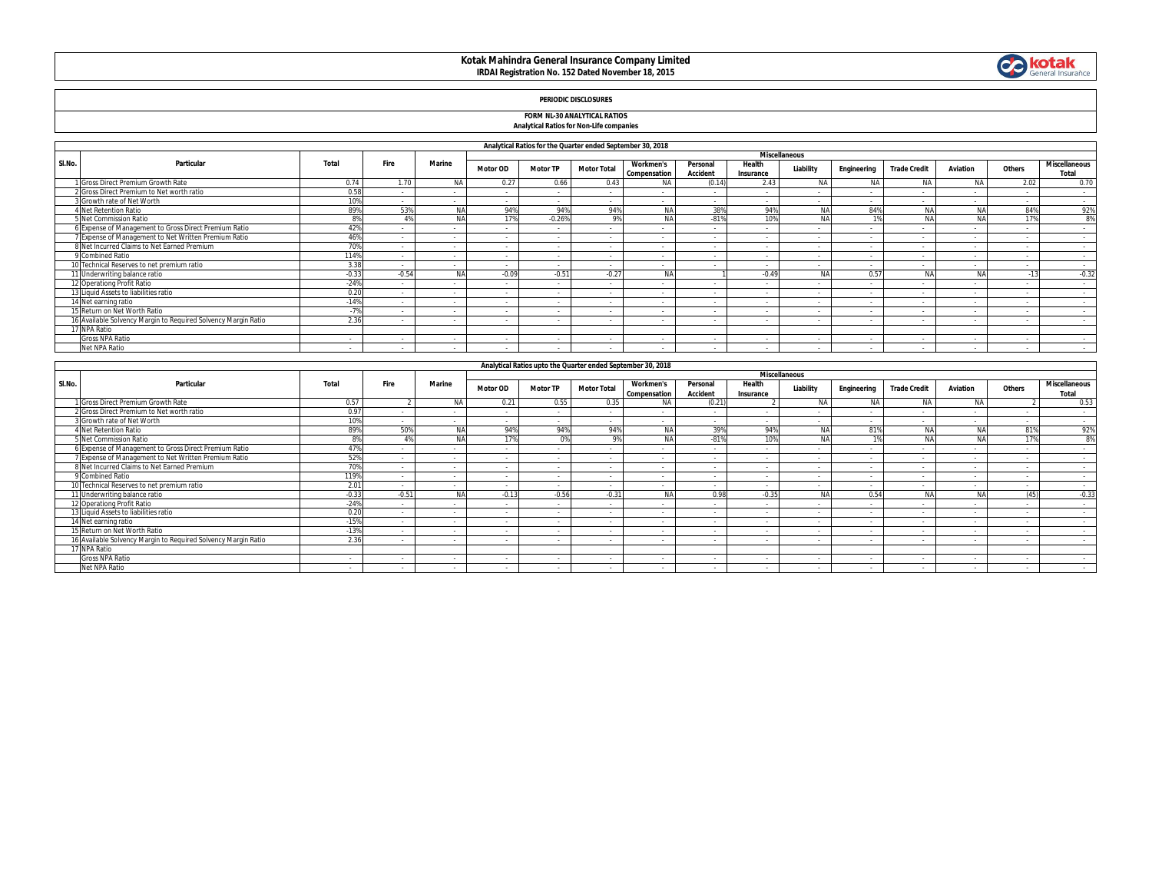# **Kotak Mahindra General Insurance Company Limited IRDAI Registration No. 152 Dated November 18, 2015**



## **PERIODIC DISCLOSURES**

### **FORM NL-30 ANALYTICAL RATIOS**

#### **Analytical Ratios for Non-Life companies**

|        | Analytical Ratios for the Quarter ended September 30, 2018     |                |         |           |                      |                          |                    |                                  |                             |                          |           |                          |                     |           |                          |                               |
|--------|----------------------------------------------------------------|----------------|---------|-----------|----------------------|--------------------------|--------------------|----------------------------------|-----------------------------|--------------------------|-----------|--------------------------|---------------------|-----------|--------------------------|-------------------------------|
|        |                                                                |                |         |           | <b>Miscellaneous</b> |                          |                    |                                  |                             |                          |           |                          |                     |           |                          |                               |
| SI.No. | Particular                                                     | Total          | Fire    | Marine    | <b>Motor OD</b>      | <b>Motor TP</b>          | <b>Motor Total</b> | <b>Workmen's</b><br>Compensation | Personal<br><b>Accident</b> | Health<br>Insurance      | Liability | Engineering              | <b>Trade Credit</b> | Aviation  | Others                   | <b>Miscellaneous</b><br>Total |
|        | Gross Direct Premium Growth Rate                               | 0.74           | 1.70    | <b>NA</b> | 0.27                 | 0.66                     | 0.43               | <b>NA</b>                        | (0.14)                      | 2.43                     | <b>NA</b> | <b>NA</b>                | <b>NA</b>           | <b>NA</b> | 2.02                     | 0.70                          |
|        | Gross Direct Premium to Net worth ratio                        | 0.58           |         |           | $\sim$               | $\sim$                   |                    |                                  |                             | $\sim$                   |           |                          | - 1                 | $\sim$    | $\overline{\phantom{a}}$ | $\sim$                        |
|        | Growth rate of Net Worth                                       | 10%            |         |           | $\sim$               | $\sim$                   | $\sim$             |                                  |                             |                          |           |                          |                     |           | $\sim$                   | $\sim$                        |
|        | 4 Net Retention Ratio                                          | 89%            | 53%     | <b>NA</b> | 94%                  | 94%                      | 94%                | <b>NA</b>                        | 38%                         | 94%                      | <b>NA</b> | 84%                      | Nl                  | <b>NA</b> | 84%                      | 92%                           |
|        | 5 Net Commission Ratio                                         | R <sup>0</sup> | 4%      |           | 17%                  | $-0.26%$                 | 9%                 | <b>NA</b>                        | $-81%$                      | 10%                      | <b>NA</b> |                          |                     | NA        | 17%                      | 8%                            |
|        | Expense of Management to Gross Direct Premium Ratio            | 42%            |         |           | $\sim$               | $\sim$                   | - 1                |                                  |                             | $\overline{\phantom{a}}$ |           |                          | - 1                 | $\sim$    | ۰.                       |                               |
|        | Expense of Management to Net Written Premium Ratio             | 46%            | $\sim$  |           | $\sim$               | $\sim$                   | $\sim$             | $\overline{\phantom{a}}$         | - 1                         | $\sim$                   |           |                          | $\sim$              | $\sim$    | $\sim$                   | $\sim$                        |
|        | 8 Net Incurred Claims to Net Earned Premium                    | 70%            |         |           | $\sim$               | $\sim$                   | $\sim$             | $\sim$                           | $\sim$                      | $\sim$                   |           | $\overline{\phantom{a}}$ | $\sim$              | $\sim$    | $\sim$                   | $\sim$                        |
|        | Combined Ratio                                                 | 114%           |         |           | $\sim$               | $\sim$                   |                    |                                  |                             | $\overline{\phantom{a}}$ |           |                          | - 1                 | $\sim$    |                          | $\sim$                        |
|        | J Technical Reserves to net premium ratio                      | 3.38           | $\sim$  |           | $\sim$               | $\sim$                   | $\sim$             | $\overline{\phantom{a}}$         |                             | $\overline{\phantom{a}}$ |           |                          | - 1                 | $\sim$    | ۰.                       | $\sim$                        |
|        | 11 Underwriting balance ratio                                  | $-0.33$        | $-0.54$ | NΔ        | $-0.09$              | $-0.51$                  | $-0.27$            | <b>NA</b>                        |                             | $-0.49$                  |           | 0.57                     | Nl                  | NA        | 12                       | $-0.32$                       |
|        | 12 Operationg Profit Ratio                                     | $-24%$         |         | . .       | $\sim$               | $\sim$                   |                    |                                  |                             | $\overline{\phantom{a}}$ |           |                          | ٠.                  |           |                          | $\sim$                        |
|        | 13 Liquid Assets to liabilities ratio                          | 0.20           |         |           | $\sim$               | $\sim$                   |                    |                                  |                             | $\overline{\phantom{a}}$ |           |                          | ٠.                  |           |                          | $\sim$                        |
|        | 14 Net earning ratio                                           | $-14%$         |         |           | $\sim$               | $\sim$                   |                    |                                  |                             |                          |           |                          |                     |           |                          |                               |
|        | 15 Return on Net Worth Ratio                                   | $-7%$          | $\sim$  |           | $\sim$               | $\sim$                   |                    | $\sim$                           | - 1                         | $\sim$                   |           |                          | - 1                 | $\sim$    | ۰.                       | $\sim$                        |
|        | 16 Available Solvency Margin to Required Solvency Margin Ratio | 2.36           |         |           |                      | $\overline{\phantom{a}}$ |                    |                                  |                             |                          |           |                          |                     |           |                          |                               |
|        | 17 NPA Ratio                                                   |                |         |           |                      |                          |                    |                                  |                             |                          |           |                          |                     |           |                          |                               |
|        | <b>Gross NPA Ratio</b>                                         |                |         | . .       | $\sim$               | $\sim$                   |                    |                                  |                             |                          |           |                          |                     |           |                          |                               |
|        | Net NPA Ratio                                                  | $\sim$         |         | $\sim$    | $\sim$               | $\sim$                   |                    | $\sim$                           |                             | $\sim$                   |           |                          | - 1                 | $\sim$    | $\sim$                   | $\sim$                        |

|        | Analytical Ratios upto the Quarter ended September 30, 2018<br><b>Miscellaneous</b> |         |         |            |                          |                          |                    |                                         |                             |                     |            |             |                          |                          |                          |                               |
|--------|-------------------------------------------------------------------------------------|---------|---------|------------|--------------------------|--------------------------|--------------------|-----------------------------------------|-----------------------------|---------------------|------------|-------------|--------------------------|--------------------------|--------------------------|-------------------------------|
|        |                                                                                     |         |         |            |                          |                          |                    |                                         |                             |                     |            |             |                          |                          |                          |                               |
| SI.No. | Particular                                                                          | Total   | Fire    | Marine     | Motor OD                 | <b>Motor TP</b>          | <b>Motor Total</b> | <b>Workmen's</b><br><b>Compensation</b> | Personal<br><b>Accident</b> | Health<br>Insurance | Liability  | Engineering | <b>Trade Credit</b>      | Aviation                 | Others                   | <b>Miscellaneous</b><br>Total |
|        | Gross Direct Premium Growth Rate                                                    | 0.57    |         | <b>NA</b>  | 0.21                     | 0.55                     | 0.35               | <b>NA</b>                               | (0.21)                      |                     | <b>NA</b>  | <b>NA</b>   | <b>NA</b>                | <b>NA</b>                |                          | 0.53                          |
|        | 2 Gross Direct Premium to Net worth ratio                                           | 0.97    |         | . .        | $\sim$                   | $\sim$                   |                    | $\overline{\phantom{a}}$                | $\sim$                      |                     |            |             | $\sim$                   | $\sim$                   |                          | $\sim$                        |
|        | Growth rate of Net Worth                                                            | 10%     |         |            | $\sim$                   | $\sim$                   |                    |                                         |                             |                     |            |             | $\sim$                   | $\sim$                   |                          | $\sim$                        |
|        | <b>1 Net Retention Ratio</b>                                                        | 89%     | 50%     |            | 94%                      | 94%                      | 94%                | <b>NA</b>                               | 39%                         | 94%                 |            | 81%         |                          | NΑ                       | 81%                      | 92%                           |
|        | 5 Net Commission Ratio                                                              | 8%      | 4%      | <b>MA</b>  | 170/                     | 0%                       | 9%                 | <b>NA</b>                               | $-81%$                      | 10%                 | <b>NIA</b> |             |                          | <b>NA</b>                | 17%                      | 8%                            |
|        | 6 Expense of Management to Gross Direct Premium Ratio                               | 479     |         | . .        | $\sim$                   | $\overline{\phantom{a}}$ | - 1                | $\overline{\phantom{a}}$                | - 1                         |                     | $\sim$     |             | $\sim$                   | $\sim$                   | $\sim$                   | $\sim$                        |
|        | 7 Expense of Management to Net Written Premium Ratio                                | 52%     |         |            | $\sim$                   | $\sim$                   |                    |                                         |                             |                     |            |             | $\overline{\phantom{a}}$ | $\overline{\phantom{a}}$ |                          | $\sim$                        |
|        | B Net Incurred Claims to Net Earned Premium                                         | 70%     |         |            |                          |                          |                    |                                         |                             |                     |            |             |                          |                          |                          | $\sim$                        |
|        | 9 Combined Ratio                                                                    | 119%    | $\sim$  | $\sim$     | $\sim$                   | $\sim$                   | $\sim$             | $\overline{\phantom{a}}$                | $\sim$                      | $\sim$              | $\sim$     | $\sim$      | $\sim$                   | $\sim$                   | $\sim$                   | $\sim$                        |
|        | 10 Technical Reserves to net premium ratio                                          | 2.01    | $\sim$  | $\sim$     | $\sim$                   | $\sim$                   | $\sim$             | $\sim$                                  | $\sim$                      |                     | $\sim$     | $\sim$      | $\sim$                   | $\overline{\phantom{a}}$ | $\sim$                   | $\sim$                        |
|        | 11 Underwriting balance ratio                                                       | $-0.33$ | $-0.51$ | <b>AIA</b> | $-0.17$                  | $-0.56$                  | $-0.31$            | <b>NA</b>                               | 0.98                        | $-0.35$             | <b>NA</b>  | 0.54        |                          | <b>NA</b>                | (45)                     | $-0.33$                       |
|        | 12 Operationg Profit Ratio                                                          | $-24%$  |         |            | $\sim$                   | $\sim$                   |                    |                                         |                             |                     |            |             |                          |                          |                          | $\sim$                        |
|        | 13 Liquid Assets to liabilities ratio                                               | 0.20    | $\sim$  | $\sim$     | $\sim$                   | $\sim$                   | $\sim$             | $\sim$                                  | $\sim$                      |                     | $\sim$     | $\sim$      | . .                      | $\sim$                   | $\sim$                   | $\sim$                        |
|        | 14 Net earning ratio                                                                | $-15%$  | $\sim$  | . .        | $\overline{\phantom{a}}$ | $\overline{\phantom{a}}$ |                    | . .                                     | ٠.                          |                     | $\sim$     |             | $\sim$                   |                          | $\overline{\phantom{a}}$ | $\sim$                        |
|        | 15 Return on Net Worth Ratio                                                        | $-13%$  | $\sim$  | . .        | $\sim$                   | $\sim$                   |                    |                                         | $\sim$                      |                     | $\sim$     |             | $\sim$                   | $\overline{\phantom{a}}$ | $\sim$                   | $\sim$                        |
|        | 6 Available Solvency Margin to Required Solvency Margin Ratio                       | 2.36    |         |            |                          |                          |                    |                                         |                             |                     |            |             |                          |                          |                          |                               |
|        | 17 NPA Ratio                                                                        |         |         |            |                          |                          |                    |                                         |                             |                     |            |             |                          |                          |                          |                               |
|        | <b>Gross NPA Ratio</b>                                                              |         |         |            | $\overline{\phantom{a}}$ | $\sim$                   |                    | $\overline{\phantom{a}}$                | $\sim$                      |                     | $\sim$     |             | $\sim$                   | $\overline{\phantom{a}}$ | $\sim$                   | $\sim$                        |
|        | Net NPA Ratio                                                                       |         |         |            |                          |                          |                    |                                         |                             |                     |            |             |                          |                          |                          |                               |